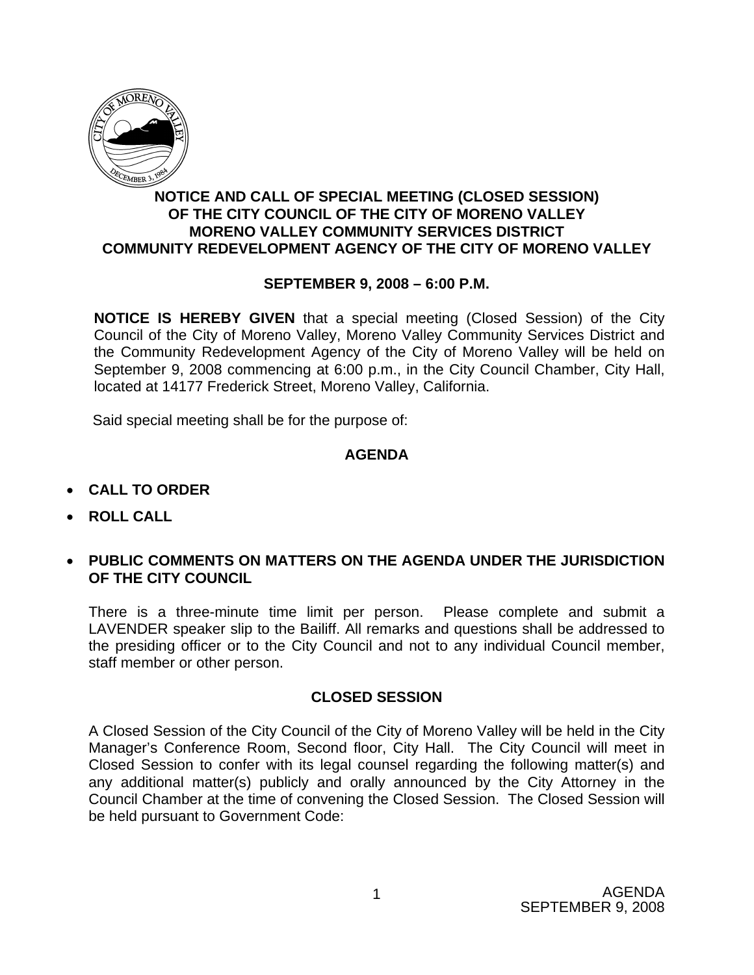

## **NOTICE AND CALL OF SPECIAL MEETING (CLOSED SESSION) OF THE CITY COUNCIL OF THE CITY OF MORENO VALLEY MORENO VALLEY COMMUNITY SERVICES DISTRICT COMMUNITY REDEVELOPMENT AGENCY OF THE CITY OF MORENO VALLEY**

## **SEPTEMBER 9, 2008 – 6:00 P.M.**

**NOTICE IS HEREBY GIVEN** that a special meeting (Closed Session) of the City Council of the City of Moreno Valley, Moreno Valley Community Services District and the Community Redevelopment Agency of the City of Moreno Valley will be held on September 9, 2008 commencing at 6:00 p.m., in the City Council Chamber, City Hall, located at 14177 Frederick Street, Moreno Valley, California.

Said special meeting shall be for the purpose of:

## **AGENDA**

- **CALL TO ORDER**
- **ROLL CALL**
- **PUBLIC COMMENTS ON MATTERS ON THE AGENDA UNDER THE JURISDICTION OF THE CITY COUNCIL**

There is a three-minute time limit per person. Please complete and submit a LAVENDER speaker slip to the Bailiff. All remarks and questions shall be addressed to the presiding officer or to the City Council and not to any individual Council member, staff member or other person.

## **CLOSED SESSION**

A Closed Session of the City Council of the City of Moreno Valley will be held in the City Manager's Conference Room, Second floor, City Hall. The City Council will meet in Closed Session to confer with its legal counsel regarding the following matter(s) and any additional matter(s) publicly and orally announced by the City Attorney in the Council Chamber at the time of convening the Closed Session. The Closed Session will be held pursuant to Government Code: